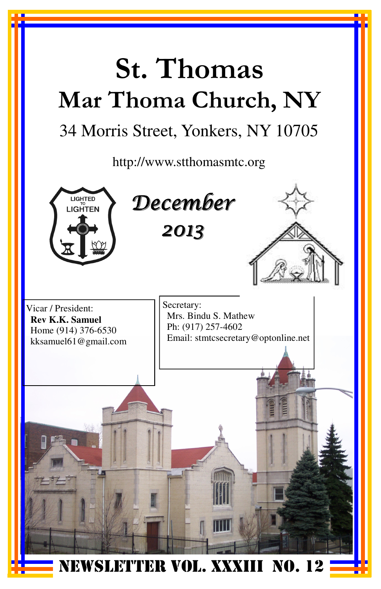# St. Thomas Mar Thoma Church, NY

# 34 Morris Street, Yonkers, NY 10705

http://www.stthomasmtc.org

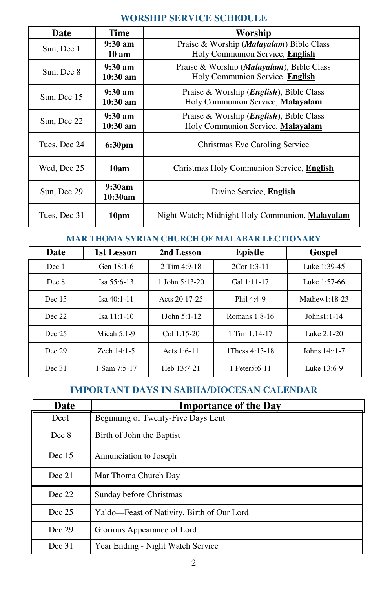| Date         | Time                                    | Worship                                                                                     |  |
|--------------|-----------------------------------------|---------------------------------------------------------------------------------------------|--|
| Sun, Dec 1   | $9:30 \text{ am}$<br>10 <sub>am</sub>   | Praise & Worship ( <i>Malayalam</i> ) Bible Class<br>Holy Communion Service, <b>English</b> |  |
| Sun, Dec 8   | $9:30 \text{ am}$<br>$10:30 \text{ am}$ | Praise & Worship (Malayalam), Bible Class<br>Holy Communion Service, English                |  |
| Sun, Dec 15  | $9:30 \text{ am}$<br>$10:30 \text{ am}$ | Praise & Worship ( <i>English</i> ), Bible Class<br>Holy Communion Service, Malayalam       |  |
| Sun, Dec 22  | $9:30 \text{ am}$<br>$10:30$ am         | Praise & Worship ( <i>English</i> ), Bible Class<br>Holy Communion Service, Malayalam       |  |
| Tues, Dec 24 | 6:30 <sub>pm</sub>                      | Christmas Eve Caroling Service                                                              |  |
| Wed, Dec 25  | 10am                                    | Christmas Holy Communion Service, English                                                   |  |
| Sun, Dec 29  | 9:30am<br>10:30am                       | Divine Service, <b>English</b>                                                              |  |
| Tues. Dec 31 | 10 <sub>pm</sub>                        | Night Watch; Midnight Holy Communion, Malayalam                                             |  |

#### **WORSHIP SERVICE SCHEDULE**

#### **MAR THOMA SYRIAN CHURCH OF MALABAR LECTIONARY**

| Date   | 1st Lesson    | 2nd Lesson       | <b>Epistle</b>             | <b>Gospel</b>    |
|--------|---------------|------------------|----------------------------|------------------|
| Dec 1  | Gen 18:1-6    | 2 Tim 4:9-18     | $2Cor1:3-11$               | Luke 1:39-45     |
| Dec 8  | Isa 55:6-13   | 1 John $5:13-20$ | Gal 1:11-17                | Luke 1:57-66     |
| Dec 15 | $Isa 40:1-11$ | Acts 20:17-25    | Phil 4:4-9                 | Mathew $1:18-23$ |
| Dec 22 | Isa 11:1-10   | $1$ John 5:1-12  | Romans 1:8-16              | $Johns1:1-14$    |
| Dec 25 | Micah $5:1-9$ | $Col 1:15-20$    | $1$ Tim $1:14-17$          | Luke 2:1-20      |
| Dec 29 | Zech 14:1-5   | Acts 1:6-11      | 1 Thess 4:13-18            | Johns 14::1-7    |
| Dec 31 | 1 Sam 7:5-17  | Heb 13:7-21      | 1 Peter <sub>5</sub> :6-11 | Luke 13:6-9      |

### **IMPORTANT DAYS IN SABHA/DIOCESAN CALENDAR**

| Date     | <b>Importance of the Day</b>               |
|----------|--------------------------------------------|
| Dec1     | Beginning of Twenty-Five Days Lent         |
| Dec 8    | Birth of John the Baptist                  |
| Dec $15$ | Annunciation to Joseph                     |
| Dec 21   | Mar Thoma Church Day                       |
| Dec 22   | Sunday before Christmas                    |
| Dec 25   | Yaldo-Feast of Nativity, Birth of Our Lord |
| Dec 29   | Glorious Appearance of Lord                |
| Dec 31   | Year Ending - Night Watch Service          |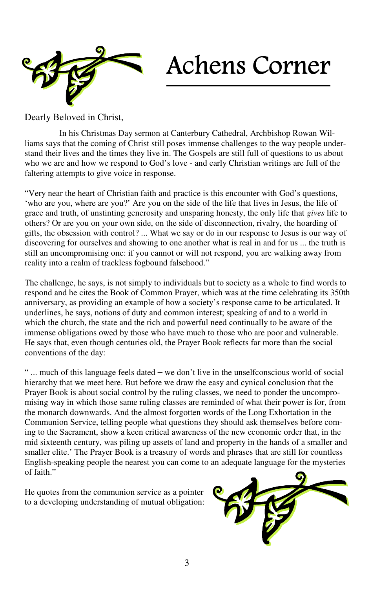

# Achens Corner

Dearly Beloved in Christ,

 In his Christmas Day sermon at Canterbury Cathedral, Archbishop Rowan Williams says that the coming of Christ still poses immense challenges to the way people understand their lives and the times they live in. The Gospels are still full of questions to us about who we are and how we respond to God's love - and early Christian writings are full of the faltering attempts to give voice in response.

"Very near the heart of Christian faith and practice is this encounter with God's questions, 'who are you, where are you?' Are you on the side of the life that lives in Jesus, the life of grace and truth, of unstinting generosity and unsparing honesty, the only life that *gives* life to others? Or are you on your own side, on the side of disconnection, rivalry, the hoarding of gifts, the obsession with control? ... What we say or do in our response to Jesus is our way of discovering for ourselves and showing to one another what is real in and for us ... the truth is still an uncompromising one: if you cannot or will not respond, you are walking away from reality into a realm of trackless fogbound falsehood."

The challenge, he says, is not simply to individuals but to society as a whole to find words to respond and he cites the Book of Common Prayer, which was at the time celebrating its 350th anniversary, as providing an example of how a society's response came to be articulated. It underlines, he says, notions of duty and common interest; speaking of and to a world in which the church, the state and the rich and powerful need continually to be aware of the immense obligations owed by those who have much to those who are poor and vulnerable. He says that, even though centuries old, the Prayer Book reflects far more than the social conventions of the day:

" ... much of this language feels dated – we don't live in the unselfconscious world of social hierarchy that we meet here. But before we draw the easy and cynical conclusion that the Prayer Book is about social control by the ruling classes, we need to ponder the uncompromising way in which those same ruling classes are reminded of what their power is for, from the monarch downwards. And the almost forgotten words of the Long Exhortation in the Communion Service, telling people what questions they should ask themselves before coming to the Sacrament, show a keen critical awareness of the new economic order that, in the mid sixteenth century, was piling up assets of land and property in the hands of a smaller and smaller elite.' The Prayer Book is a treasury of words and phrases that are still for countless English-speaking people the nearest you can come to an adequate language for the mysteries of faith."

He quotes from the communion service as a pointer to a developing understanding of mutual obligation:

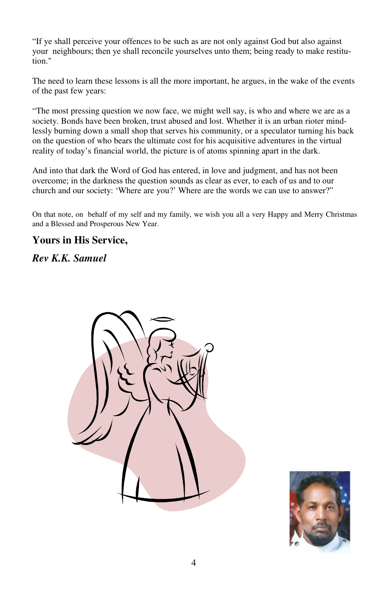"If ye shall perceive your offences to be such as are not only against God but also against your neighbours; then ye shall reconcile yourselves unto them; being ready to make restitution."

The need to learn these lessons is all the more important, he argues, in the wake of the events of the past few years:

"The most pressing question we now face, we might well say, is who and where we are as a society. Bonds have been broken, trust abused and lost. Whether it is an urban rioter mindlessly burning down a small shop that serves his community, or a speculator turning his back on the question of who bears the ultimate cost for his acquisitive adventures in the virtual reality of today's financial world, the picture is of atoms spinning apart in the dark.

And into that dark the Word of God has entered, in love and judgment, and has not been overcome; in the darkness the question sounds as clear as ever, to each of us and to our church and our society: 'Where are you?' Where are the words we can use to answer?"

On that note, on behalf of my self and my family, we wish you all a very Happy and Merry Christmas and a Blessed and Prosperous New Year.

### **Yours in His Service,**

*Rev K.K. Samuel* 



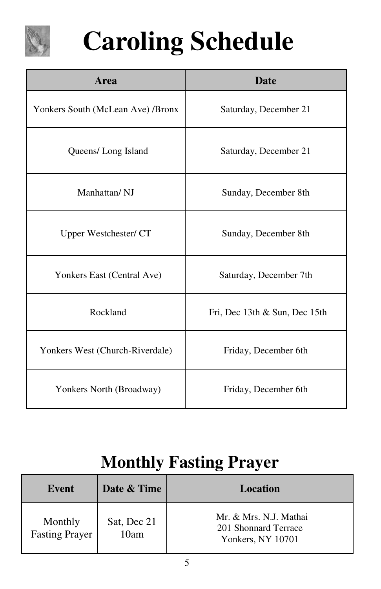

# **Caroling Schedule**

| Area                              | <b>Date</b>                   |  |
|-----------------------------------|-------------------------------|--|
| Yonkers South (McLean Ave) /Bronx | Saturday, December 21         |  |
| Queens/Long Island                | Saturday, December 21         |  |
| Manhattan/NJ                      | Sunday, December 8th          |  |
| <b>Upper Westchester/CT</b>       | Sunday, December 8th          |  |
| Yonkers East (Central Ave)        | Saturday, December 7th        |  |
| Rockland                          | Fri, Dec 13th & Sun, Dec 15th |  |
| Yonkers West (Church-Riverdale)   | Friday, December 6th          |  |
| Yonkers North (Broadway)          | Friday, December 6th          |  |

# **Monthly Fasting Prayer**

| Event                            | Date & Time         | <b>Location</b>                                                            |  |
|----------------------------------|---------------------|----------------------------------------------------------------------------|--|
| Monthly<br><b>Fasting Prayer</b> | Sat, Dec 21<br>10am | Mr. & Mrs. N.J. Mathai<br>201 Shonnard Terrace<br><b>Yonkers, NY 10701</b> |  |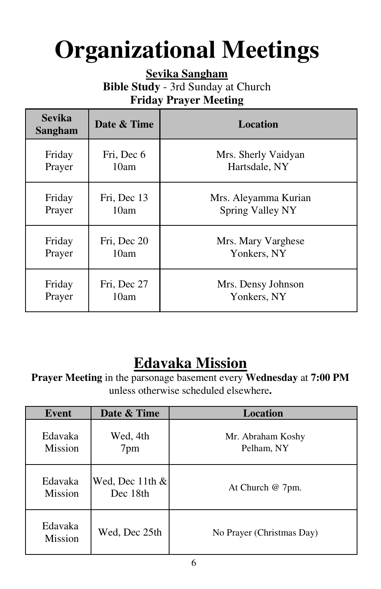# **Organizational Meetings**

**Sevika Sangham** 

**Bible Study** - 3rd Sunday at Church **Friday Prayer Meeting** 

| <b>Sevika</b><br><b>Sangham</b> | Date & Time | <b>Location</b>      |
|---------------------------------|-------------|----------------------|
| Friday                          | Fri, Dec 6  | Mrs. Sherly Vaidyan  |
| Prayer                          | 10am        | Hartsdale, NY        |
| Friday                          | Fri, Dec 13 | Mrs. Aleyamma Kurian |
| Prayer                          | 10am        | Spring Valley NY     |
| Friday                          | Fri, Dec 20 | Mrs. Mary Varghese   |
| Prayer                          | 10am        | Yonkers, NY          |
| Friday                          | Fri, Dec 27 | Mrs. Densy Johnson   |
| Prayer                          | 10am        | Yonkers, NY          |

# **Edavaka Mission**

**Prayer Meeting** in the parsonage basement every **Wednesday** at **7:00 PM**  unless otherwise scheduled elsewhere**.** 

| Event                     | Date & Time                       | <b>Location</b>                 |
|---------------------------|-----------------------------------|---------------------------------|
| Edavaka<br><b>Mission</b> | Wed, 4th<br>7pm                   | Mr. Abraham Koshy<br>Pelham, NY |
| Edavaka<br><b>Mission</b> | Wed, Dec $11$ th $\&$<br>Dec 18th | At Church $@$ 7pm.              |
| Edavaka<br><b>Mission</b> | Wed, Dec 25th                     | No Prayer (Christmas Day)       |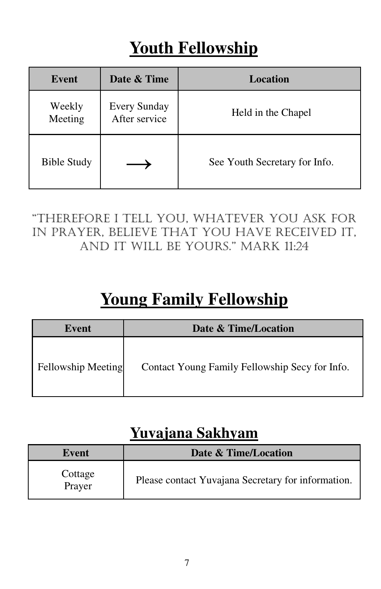# **Youth Fellowship**

| Event              | Date & Time                   | <b>Location</b>               |  |
|--------------------|-------------------------------|-------------------------------|--|
| Weekly<br>Meeting  | Every Sunday<br>After service | Held in the Chapel            |  |
| <b>Bible Study</b> |                               | See Youth Secretary for Info. |  |

"THEREFORE I TELL YOU, WHATEVER YOU ASK FOR IN PRAYER, BELIEVE THAT YOU HAVE RECEIVED IT, AND IT WILL BE YOURS." MARK 11:24

# **Young Family Fellowship**

| Event                     | Date & Time/Location                           |  |  |
|---------------------------|------------------------------------------------|--|--|
| <b>Fellowship Meeting</b> | Contact Young Family Fellowship Secy for Info. |  |  |

## **Yuvajana Sakhyam**

| Event             | Date & Time/Location                               |
|-------------------|----------------------------------------------------|
| Cottage<br>Prayer | Please contact Yuvajana Secretary for information. |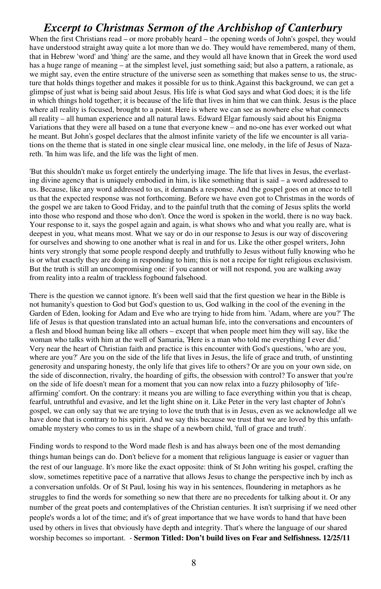### *Excerpt to Christmas Sermon of the Archbishop of Canterbury*

When the first Christians read – or more probably heard – the opening words of John's gospel, they would have understood straight away quite a lot more than we do. They would have remembered, many of them, that in Hebrew 'word' and 'thing' are the same, and they would all have known that in Greek the word used has a huge range of meaning – at the simplest level, just something said; but also a pattern, a rationale, as we might say, even the entire structure of the universe seen as something that makes sense to us, the structure that holds things together and makes it possible for us to think.Against this background, we can get a glimpse of just what is being said about Jesus. His life is what God says and what God does; it is the life in which things hold together; it is because of the life that lives in him that we can think. Jesus is the place where all reality is focused, brought to a point. Here is where we can see as nowhere else what connects all reality – all human experience and all natural laws. Edward Elgar famously said about his Enigma Variations that they were all based on a tune that everyone knew – and no-one has ever worked out what he meant. But John's gospel declares that the almost infinite variety of the life we encounter is all variations on the theme that is stated in one single clear musical line, one melody, in the life of Jesus of Nazareth. 'In him was life, and the life was the light of men.

'But this shouldn't make us forget entirely the underlying image. The life that lives in Jesus, the everlasting divine agency that is uniquely embodied in him, is like something that is said – a word addressed to us. Because, like any word addressed to us, it demands a response. And the gospel goes on at once to tell us that the expected response was not forthcoming. Before we have even got to Christmas in the words of the gospel we are taken to Good Friday, and to the painful truth that the coming of Jesus splits the world into those who respond and those who don't. Once the word is spoken in the world, there is no way back. Your response to it, says the gospel again and again, is what shows who and what you really are, what is deepest in you, what means most. What we say or do in our response to Jesus is our way of discovering for ourselves and showing to one another what is real in and for us. Like the other gospel writers, John hints very strongly that some people respond deeply and truthfully to Jesus without fully knowing who he is or what exactly they are doing in responding to him; this is not a recipe for tight religious exclusivism. But the truth is still an uncompromising one: if you cannot or will not respond, you are walking away from reality into a realm of trackless fogbound falsehood.

There is the question we cannot ignore. It's been well said that the first question we hear in the Bible is not humanity's question to God but God's question to us, God walking in the cool of the evening in the Garden of Eden, looking for Adam and Eve who are trying to hide from him. 'Adam, where are you?' The life of Jesus is that question translated into an actual human life, into the conversations and encounters of a flesh and blood human being like all others – except that when people meet him they will say, like the woman who talks with him at the well of Samaria, 'Here is a man who told me everything I ever did.' Very near the heart of Christian faith and practice is this encounter with God's questions, 'who are you, where are you?' Are you on the side of the life that lives in Jesus, the life of grace and truth, of unstinting generosity and unsparing honesty, the only life that gives life to others? Or are you on your own side, on the side of disconnection, rivalry, the hoarding of gifts, the obsession with control? To answer that you're on the side of life doesn't mean for a moment that you can now relax into a fuzzy philosophy of 'lifeaffirming' comfort. On the contrary: it means you are willing to face everything within you that is cheap, fearful, untruthful and evasive, and let the light shine on it. Like Peter in the very last chapter of John's gospel, we can only say that we are trying to love the truth that is in Jesus, even as we acknowledge all we have done that is contrary to his spirit. And we say this because we trust that we are loved by this unfathomable mystery who comes to us in the shape of a newborn child, 'full of grace and truth'.

Finding words to respond to the Word made flesh is and has always been one of the most demanding things human beings can do. Don't believe for a moment that religious language is easier or vaguer than the rest of our language. It's more like the exact opposite: think of St John writing his gospel, crafting the slow, sometimes repetitive pace of a narrative that allows Jesus to change the perspective inch by inch as a conversation unfolds. Or of St Paul, losing his way in his sentences, floundering in metaphors as he struggles to find the words for something so new that there are no precedents for talking about it. Or any number of the great poets and contemplatives of the Christian centuries. It isn't surprising if we need other people's words a lot of the time; and it's of great importance that we have words to hand that have been used by others in lives that obviously have depth and integrity. That's where the language of our shared worship becomes so important. - **Sermon Titled: Don't build lives on Fear and Selfishness. 12/25/11**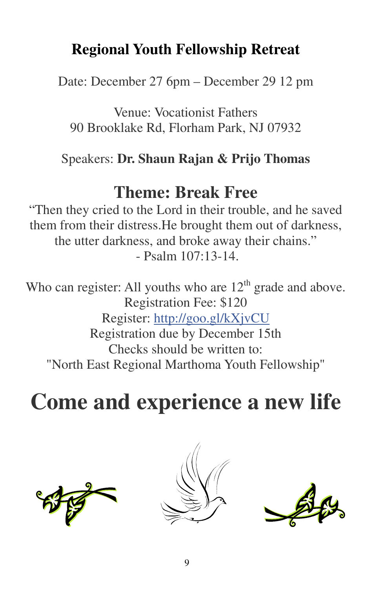## **Regional Youth Fellowship Retreat**

Date: December 27 6pm – December 29 12 pm

Venue: Vocationist Fathers 90 Brooklake Rd, Florham Park, NJ 07932

### Speakers: **Dr. Shaun Rajan & Prijo Thomas**

# **Theme: Break Free**

"Then they cried to the Lord in their trouble, and he saved them from their distress.He brought them out of darkness, the utter darkness, and broke away their chains."  $-$  Psalm  $107.13-14$ .

Who can register: All youths who are  $12<sup>th</sup>$  grade and above. Registration Fee: \$120 Register: http://goo.gl/kXjvCU Registration due by December 15th Checks should be written to: "North East Regional Marthoma Youth Fellowship"

# **Come and experience a new life**





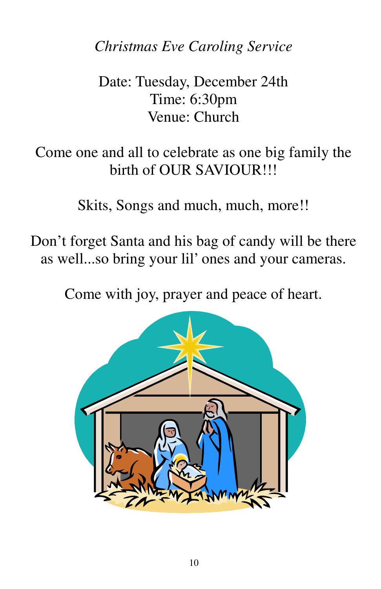*Christmas Eve Caroling Service* 

### Date: Tuesday, December 24th Time: 6:30pm Venue: Church

### Come one and all to celebrate as one big family the birth of OUR SAVIOUR!!!

Skits, Songs and much, much, more!!

Don't forget Santa and his bag of candy will be there as well...so bring your lil' ones and your cameras.

Come with joy, prayer and peace of heart.

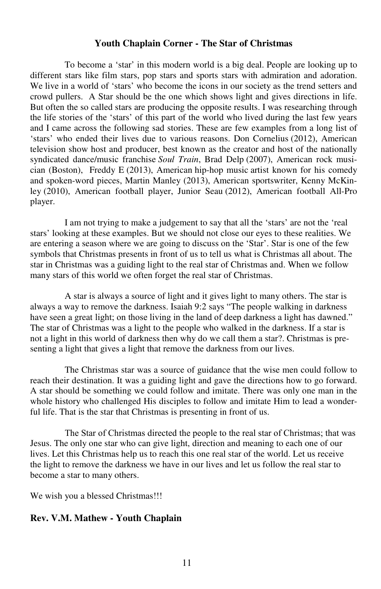#### **Youth Chaplain Corner - The Star of Christmas**

To become a 'star' in this modern world is a big deal. People are looking up to different stars like film stars, pop stars and sports stars with admiration and adoration. We live in a world of 'stars' who become the icons in our society as the trend setters and crowd pullers. A Star should be the one which shows light and gives directions in life. But often the so called stars are producing the opposite results. I was researching through the life stories of the 'stars' of this part of the world who lived during the last few years and I came across the following sad stories. These are few examples from a long list of 'stars' who ended their lives due to various reasons. Don Cornelius (2012), American television show host and producer, best known as the creator and host of the nationally syndicated dance/music franchise *Soul Train*, Brad Delp (2007), American rock musician (Boston), Freddy E (2013), American hip-hop music artist known for his comedy and spoken-word pieces, Martin Manley (2013), American sportswriter, Kenny McKinley (2010), American football player, Junior Seau (2012), American football All-Pro player.

I am not trying to make a judgement to say that all the 'stars' are not the 'real stars' looking at these examples. But we should not close our eyes to these realities. We are entering a season where we are going to discuss on the 'Star'. Star is one of the few symbols that Christmas presents in front of us to tell us what is Christmas all about. The star in Christmas was a guiding light to the real star of Christmas and. When we follow many stars of this world we often forget the real star of Christmas.

A star is always a source of light and it gives light to many others. The star is always a way to remove the darkness. Isaiah 9:2 says "The people walking in darkness have seen a great light; on those living in the land of deep darkness a light has dawned." The star of Christmas was a light to the people who walked in the darkness. If a star is not a light in this world of darkness then why do we call them a star?. Christmas is presenting a light that gives a light that remove the darkness from our lives.

The Christmas star was a source of guidance that the wise men could follow to reach their destination. It was a guiding light and gave the directions how to go forward. A star should be something we could follow and imitate. There was only one man in the whole history who challenged His disciples to follow and imitate Him to lead a wonderful life. That is the star that Christmas is presenting in front of us.

The Star of Christmas directed the people to the real star of Christmas; that was Jesus. The only one star who can give light, direction and meaning to each one of our lives. Let this Christmas help us to reach this one real star of the world. Let us receive the light to remove the darkness we have in our lives and let us follow the real star to become a star to many others.

We wish you a blessed Christmas!!!

#### **Rev. V.M. Mathew - Youth Chaplain**